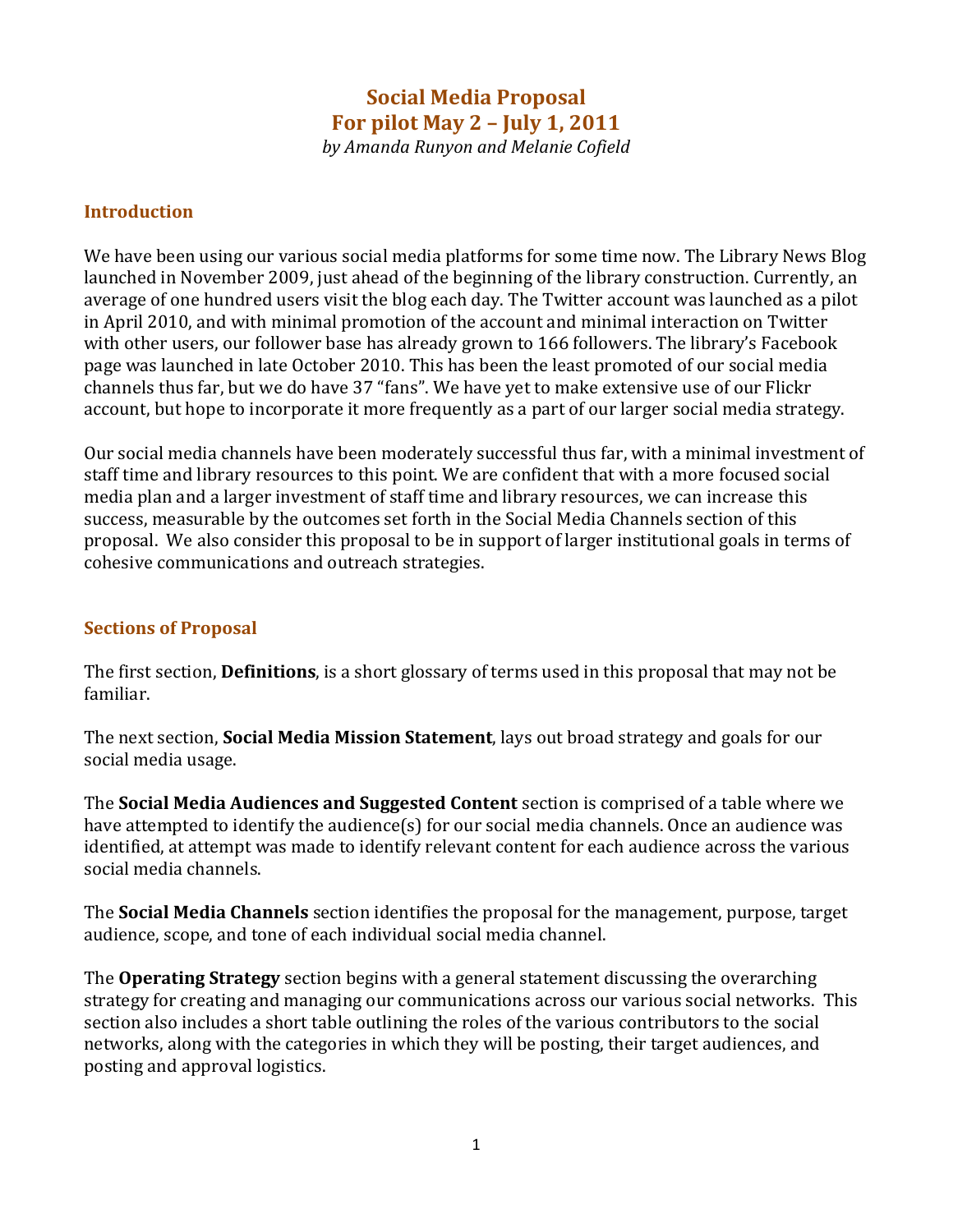# **Social Media Proposal For pilot May 2 – July 1, 2011**

*by Amanda Runyon and Melanie Cofield*

#### **Introduction**

We have been using our various social media platforms for some time now. The Library News Blog launched in November 2009, just ahead of the beginning of the library construction. Currently, an average of one hundred users visit the blog each day. The Twitter account was launched as a pilot in April 2010, and with minimal promotion of the account and minimal interaction on Twitter with other users, our follower base has already grown to 166 followers. The library's Facebook page was launched in late October 2010. This has been the least promoted of our social media channels thus far, but we do have 37 "fans". We have yet to make extensive use of our Flickr account, but hope to incorporate it more frequently as a part of our larger social media strategy.

Our social media channels have been moderately successful thus far, with a minimal investment of staff time and library resources to this point. We are confident that with a more focused social media plan and a larger investment of staff time and library resources, we can increase this success, measurable by the outcomes set forth in the Social Media Channels section of this proposal. We also consider this proposal to be in support of larger institutional goals in terms of cohesive communications and outreach strategies.

#### **Sections of Proposal**

The first section, **Definitions**, is a short glossary of terms used in this proposal that may not be familiar.

The next section, **Social Media Mission Statement**, lays out broad strategy and goals for our social media usage.

The **Social Media Audiences and Suggested Content** section is comprised of a table where we have attempted to identify the audience(s) for our social media channels. Once an audience was identified, at attempt was made to identify relevant content for each audience across the various social media channels.

The **Social Media Channels** section identifies the proposal for the management, purpose, target audience, scope, and tone of each individual social media channel.

The **Operating Strategy** section begins with a general statement discussing the overarching strategy for creating and managing our communications across our various social networks. This section also includes a short table outlining the roles of the various contributors to the social networks, along with the categories in which they will be posting, their target audiences, and posting and approval logistics.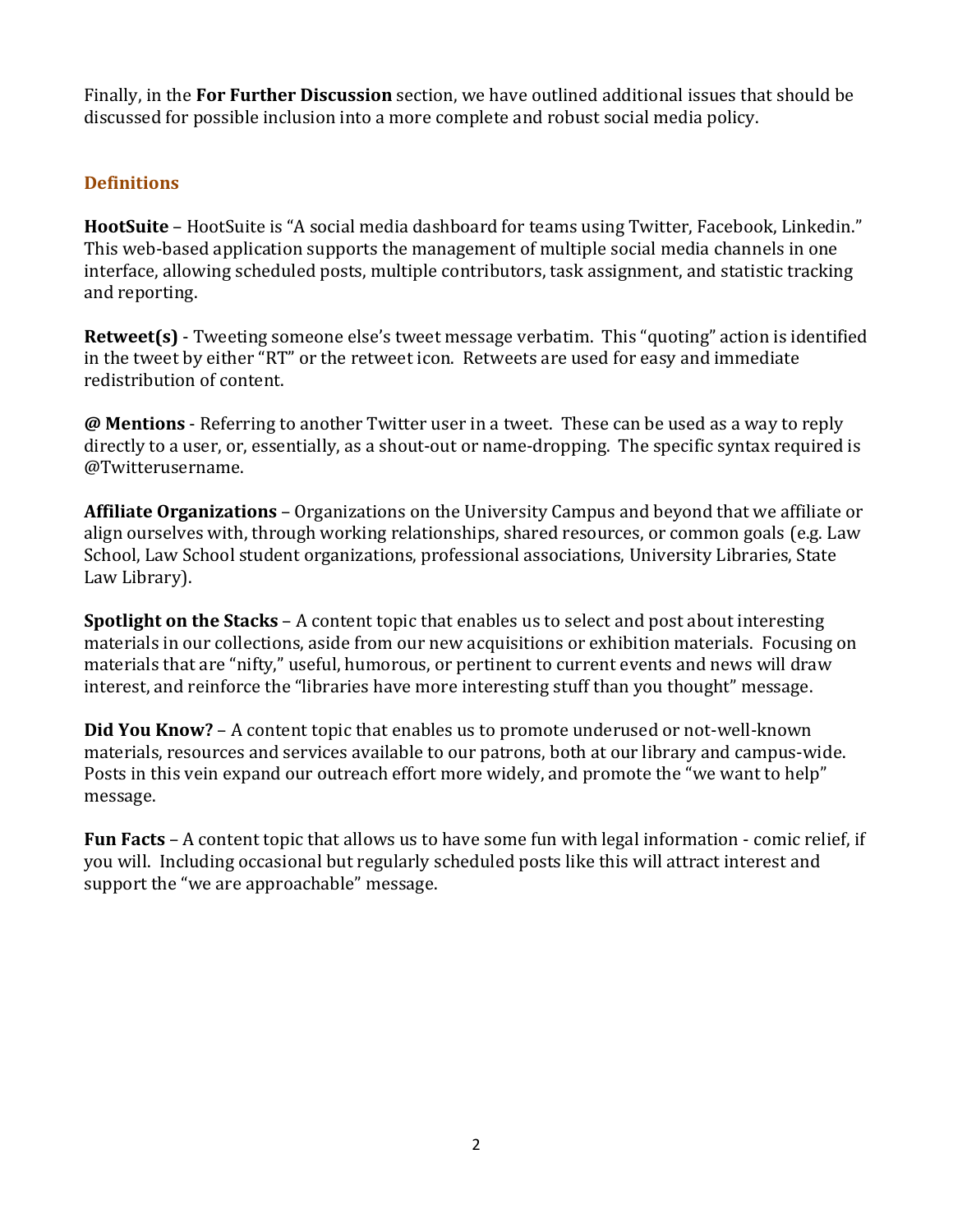Finally, in the **For Further Discussion** section, we have outlined additional issues that should be discussed for possible inclusion into a more complete and robust social media policy.

### **Definitions**

**HootSuite** – HootSuite is "A social media dashboard for teams using Twitter, Facebook, Linkedin." This web-based application supports the management of multiple social media channels in one interface, allowing scheduled posts, multiple contributors, task assignment, and statistic tracking and reporting.

**Retweet(s)** - Tweeting someone else's tweet message verbatim. This "quoting" action is identified in the tweet by either "RT" or the retweet icon. Retweets are used for easy and immediate redistribution of content.

**@ Mentions** - Referring to another Twitter user in a tweet. These can be used as a way to reply directly to a user, or, essentially, as a shout-out or name-dropping. The specific syntax required is @Twitterusername.

**Affiliate Organizations** – Organizations on the University Campus and beyond that we affiliate or align ourselves with, through working relationships, shared resources, or common goals (e.g. Law School, Law School student organizations, professional associations, University Libraries, State Law Library).

**Spotlight on the Stacks** – A content topic that enables us to select and post about interesting materials in our collections, aside from our new acquisitions or exhibition materials. Focusing on materials that are "nifty," useful, humorous, or pertinent to current events and news will draw interest, and reinforce the "libraries have more interesting stuff than you thought" message.

**Did You Know?** – A content topic that enables us to promote underused or not-well-known materials, resources and services available to our patrons, both at our library and campus-wide. Posts in this vein expand our outreach effort more widely, and promote the "we want to help" message.

**Fun Facts** – A content topic that allows us to have some fun with legal information - comic relief, if you will. Including occasional but regularly scheduled posts like this will attract interest and support the "we are approachable" message.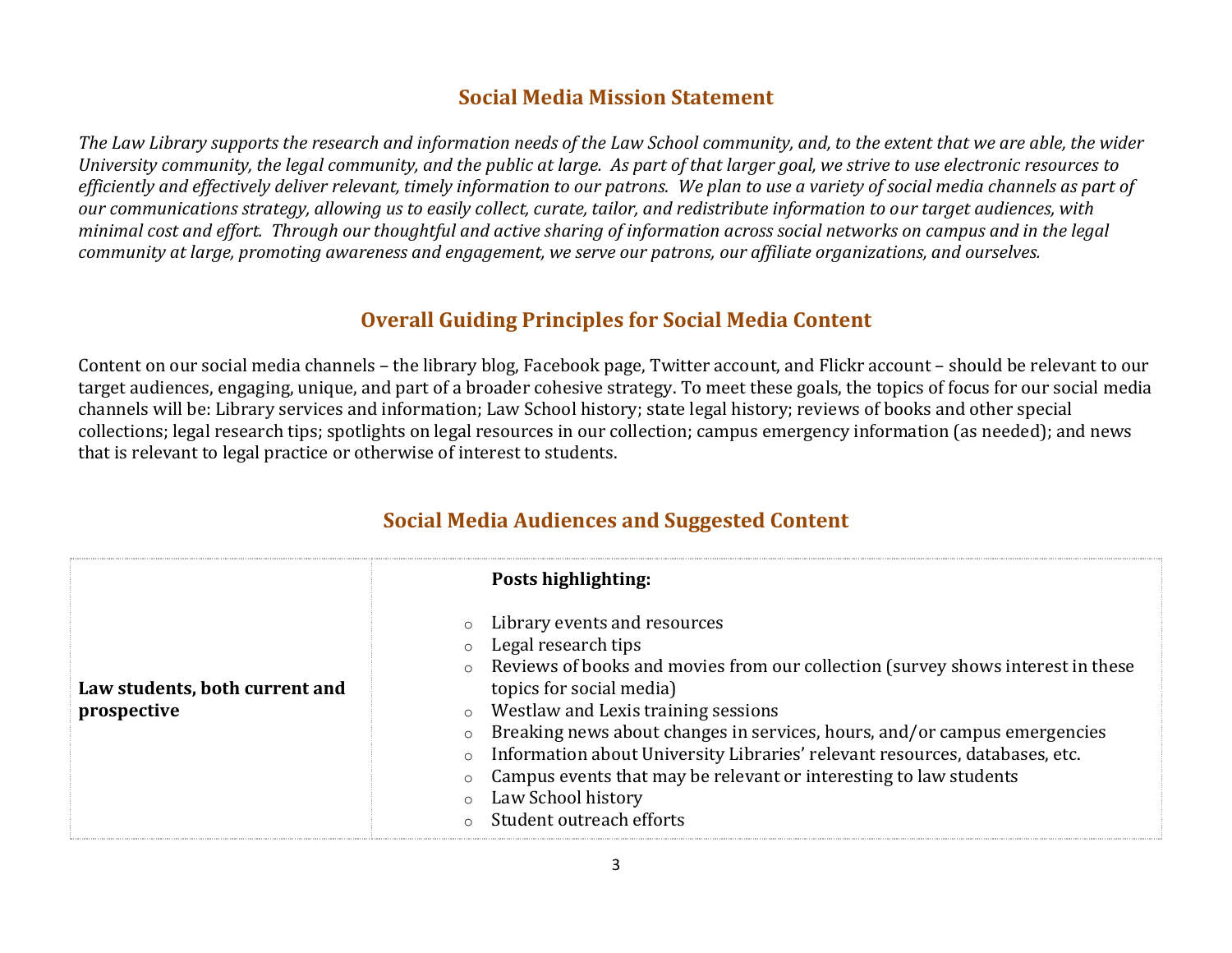### **Social Media Mission Statement**

*The Law Library supports the research and information needs of the Law School community, and, to the extent that we are able, the wider University community, the legal community, and the public at large. As part of that larger goal, we strive to use electronic resources to efficiently and effectively deliver relevant, timely information to our patrons. We plan to use a variety of social media channels as part of our communications strategy, allowing us to easily collect, curate, tailor, and redistribute information to our target audiences, with minimal cost and effort. Through our thoughtful and active sharing of information across social networks on campus and in the legal community at large, promoting awareness and engagement, we serve our patrons, our affiliate organizations, and ourselves.* 

## **Overall Guiding Principles for Social Media Content**

Content on our social media channels – the library blog, Facebook page, Twitter account, and Flickr account – should be relevant to our target audiences, engaging, unique, and part of a broader cohesive strategy. To meet these goals, the topics of focus for our social media channels will be: Library services and information; Law School history; state legal history; reviews of books and other special collections; legal research tips; spotlights on legal resources in our collection; campus emergency information (as needed); and news that is relevant to legal practice or otherwise of interest to students.

|                                               | Posts highlighting:                                                                                                                                                                                                                                                                                                                                                                                                                                                                                                                                                                         |
|-----------------------------------------------|---------------------------------------------------------------------------------------------------------------------------------------------------------------------------------------------------------------------------------------------------------------------------------------------------------------------------------------------------------------------------------------------------------------------------------------------------------------------------------------------------------------------------------------------------------------------------------------------|
| Law students, both current and<br>prospective | Library events and resources<br>$\circ$<br>Legal research tips<br>$\circ$<br>Reviews of books and movies from our collection (survey shows interest in these<br>$\circ$<br>topics for social media)<br>$\circ$ Westlaw and Lexis training sessions<br>Breaking news about changes in services, hours, and/or campus emergencies<br>$\circ$<br>Information about University Libraries' relevant resources, databases, etc.<br>$\circ$<br>Campus events that may be relevant or interesting to law students<br>$\circ$<br>Law School history<br>$\circ$<br>Student outreach efforts<br>$\cap$ |

## **Social Media Audiences and Suggested Content**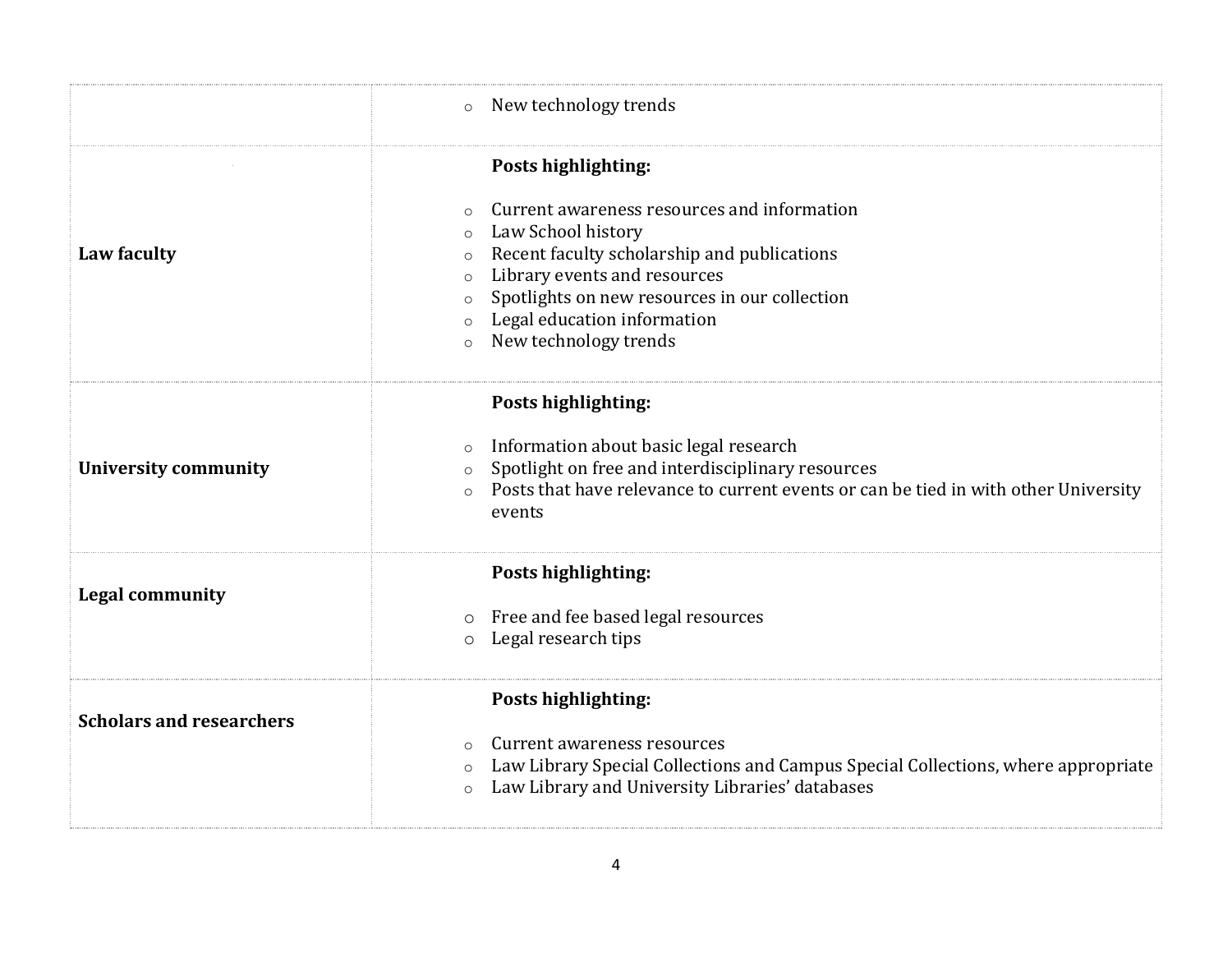|                                 | New technology trends<br>$\circ$                                                                                                                                                                                                                                                                                                                               |
|---------------------------------|----------------------------------------------------------------------------------------------------------------------------------------------------------------------------------------------------------------------------------------------------------------------------------------------------------------------------------------------------------------|
| Law faculty                     | Posts highlighting:<br>Current awareness resources and information<br>$\Omega$<br>Law School history<br>$\circ$<br>Recent faculty scholarship and publications<br>$\circ$<br>Library events and resources<br>$\circ$<br>Spotlights on new resources in our collection<br>$\circ$<br>Legal education information<br>$\circ$<br>New technology trends<br>$\circ$ |
| <b>University community</b>     | Posts highlighting:<br>Information about basic legal research<br>$\circ$<br>Spotlight on free and interdisciplinary resources<br>$\circ$<br>Posts that have relevance to current events or can be tied in with other University<br>events                                                                                                                      |
| <b>Legal community</b>          | Posts highlighting:<br>Free and fee based legal resources<br>$\circ$<br>Legal research tips<br>$\circ$                                                                                                                                                                                                                                                         |
| <b>Scholars and researchers</b> | Posts highlighting:<br>Current awareness resources<br>$\Omega$<br>Law Library Special Collections and Campus Special Collections, where appropriate<br>$\circ$<br>Law Library and University Libraries' databases<br>$\circ$                                                                                                                                   |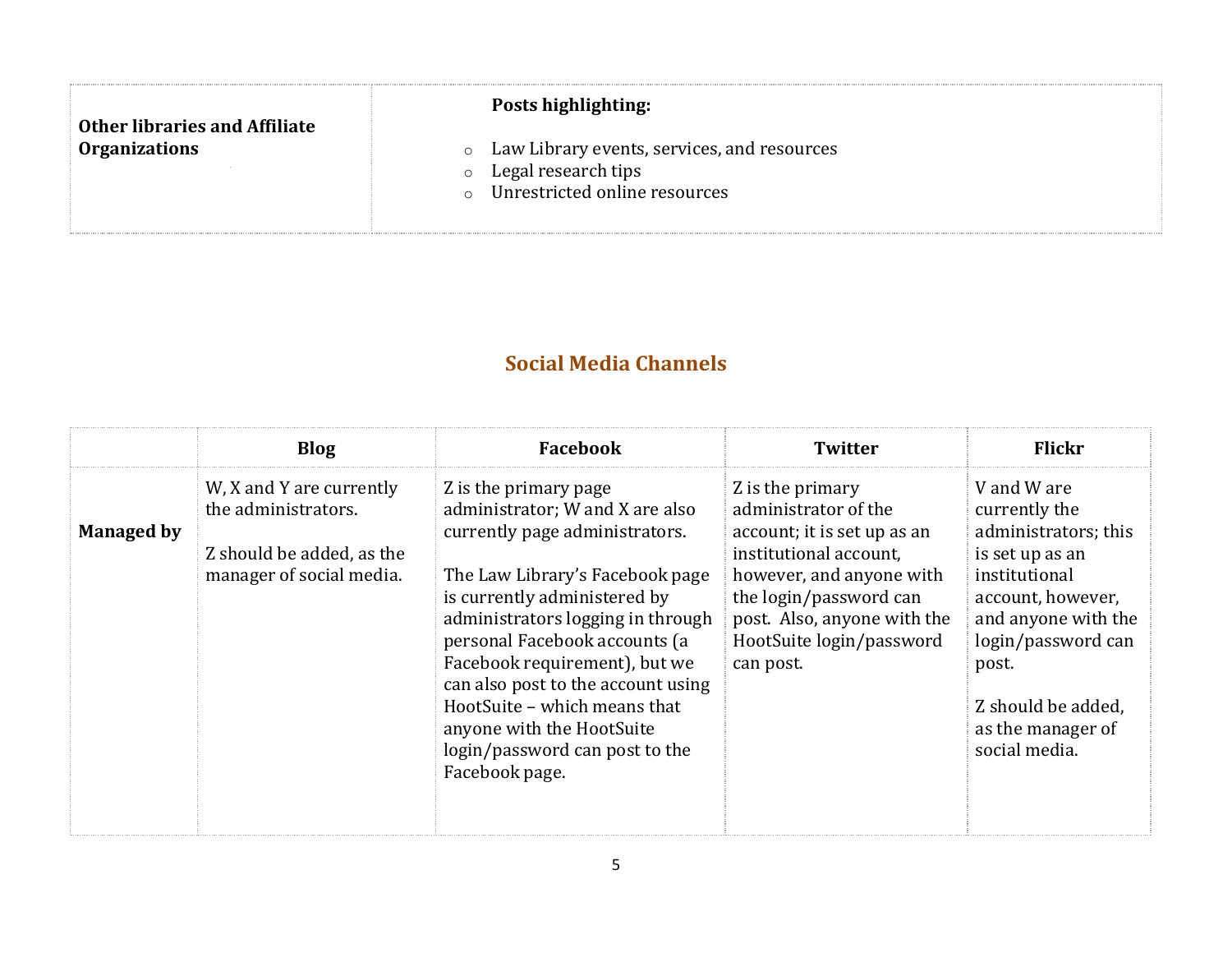| <b>Other libraries and Affiliate</b> | <b>Posts highlighting:</b>                                                                                                 |
|--------------------------------------|----------------------------------------------------------------------------------------------------------------------------|
| <b>Organizations</b>                 | • Law Library events, services, and resources<br>Legal research tips<br>$\circ$<br>Unrestricted online resources<br>$\cap$ |

# **Social Media Channels**

|                   | <b>Blog</b>                                                                                              | Facebook                                                                                                                                                                                                                                                                                                                                                                                                                    | <b>Twitter</b>                                                                                                                                                                                                                  | <b>Flickr</b>                                                                                                                                                                                                                   |
|-------------------|----------------------------------------------------------------------------------------------------------|-----------------------------------------------------------------------------------------------------------------------------------------------------------------------------------------------------------------------------------------------------------------------------------------------------------------------------------------------------------------------------------------------------------------------------|---------------------------------------------------------------------------------------------------------------------------------------------------------------------------------------------------------------------------------|---------------------------------------------------------------------------------------------------------------------------------------------------------------------------------------------------------------------------------|
| <b>Managed by</b> | W, X and Y are currently<br>the administrators.<br>Z should be added, as the<br>manager of social media. | Z is the primary page<br>administrator; W and X are also<br>currently page administrators.<br>The Law Library's Facebook page<br>is currently administered by<br>administrators logging in through<br>personal Facebook accounts (a<br>Facebook requirement), but we<br>can also post to the account using<br>HootSuite - which means that<br>anyone with the HootSuite<br>login/password can post to the<br>Facebook page. | Z is the primary<br>administrator of the<br>account; it is set up as an<br>institutional account.<br>however, and anyone with<br>the login/password can<br>post. Also, anyone with the<br>HootSuite login/password<br>can post. | V and W are<br>currently the<br>administrators; this<br>is set up as an<br>institutional<br>account, however,<br>and anyone with the<br>login/password can<br>post.<br>Z should be added,<br>as the manager of<br>social media. |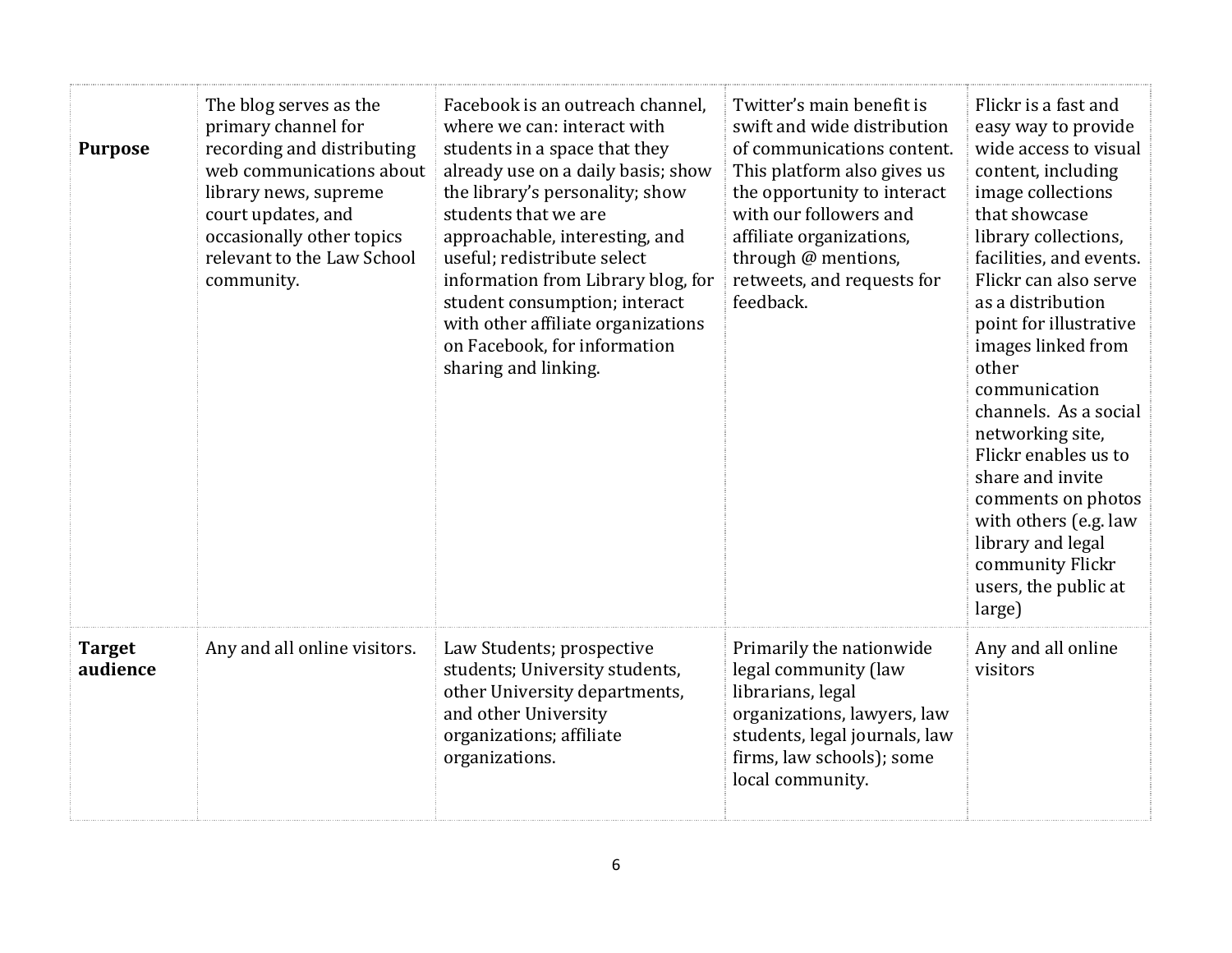| <b>Purpose</b>            | The blog serves as the<br>primary channel for<br>recording and distributing<br>web communications about<br>library news, supreme<br>court updates, and<br>occasionally other topics<br>relevant to the Law School<br>community. | Facebook is an outreach channel,<br>where we can: interact with<br>students in a space that they<br>already use on a daily basis; show<br>the library's personality; show<br>students that we are<br>approachable, interesting, and<br>useful; redistribute select<br>information from Library blog, for<br>student consumption; interact<br>with other affiliate organizations<br>on Facebook, for information<br>sharing and linking. | Twitter's main benefit is<br>swift and wide distribution<br>of communications content.<br>This platform also gives us<br>the opportunity to interact<br>with our followers and<br>affiliate organizations,<br>through @ mentions,<br>retweets, and requests for<br>feedback. | Flickr is a fast and<br>easy way to provide<br>wide access to visual<br>content, including<br>image collections<br>that showcase<br>library collections,<br>facilities, and events.<br>Flickr can also serve<br>as a distribution<br>point for illustrative<br>images linked from<br>other<br>communication<br>channels. As a social<br>networking site,<br>Flickr enables us to<br>share and invite<br>comments on photos<br>with others (e.g. law<br>library and legal<br>community Flickr<br>users, the public at<br>large) |
|---------------------------|---------------------------------------------------------------------------------------------------------------------------------------------------------------------------------------------------------------------------------|-----------------------------------------------------------------------------------------------------------------------------------------------------------------------------------------------------------------------------------------------------------------------------------------------------------------------------------------------------------------------------------------------------------------------------------------|------------------------------------------------------------------------------------------------------------------------------------------------------------------------------------------------------------------------------------------------------------------------------|--------------------------------------------------------------------------------------------------------------------------------------------------------------------------------------------------------------------------------------------------------------------------------------------------------------------------------------------------------------------------------------------------------------------------------------------------------------------------------------------------------------------------------|
| <b>Target</b><br>audience | Any and all online visitors.                                                                                                                                                                                                    | Law Students; prospective<br>students; University students,<br>other University departments,<br>and other University<br>organizations; affiliate<br>organizations.                                                                                                                                                                                                                                                                      | Primarily the nationwide<br>legal community (law<br>librarians, legal<br>organizations, lawyers, law<br>students, legal journals, law<br>firms, law schools); some<br>local community.                                                                                       | Any and all online<br>visitors                                                                                                                                                                                                                                                                                                                                                                                                                                                                                                 |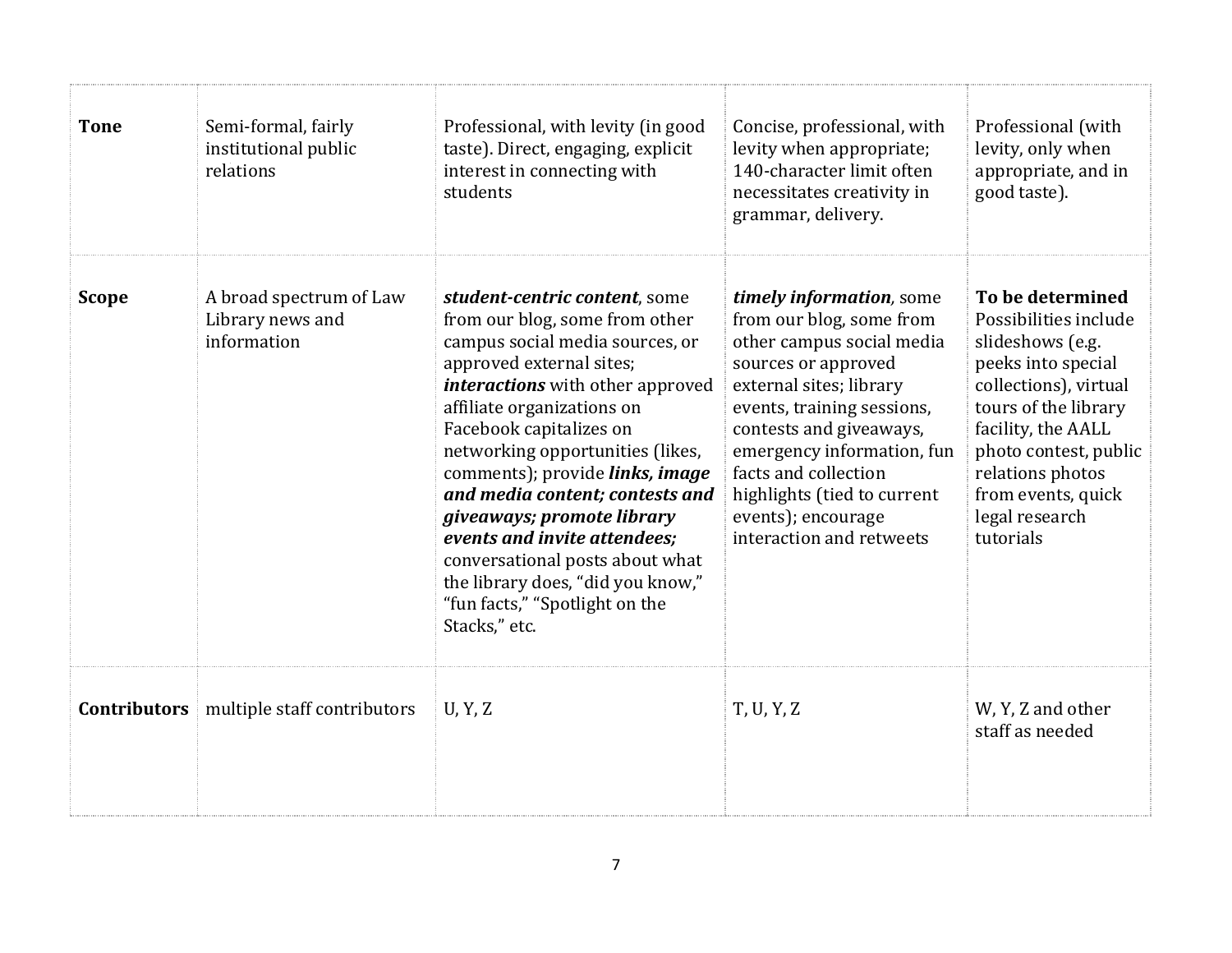| <b>Tone</b>         | Semi-formal, fairly<br>institutional public<br>relations   | Professional, with levity (in good<br>taste). Direct, engaging, explicit<br>interest in connecting with<br>students                                                                                                                                                                                                                                                                                                                                                                                                                   | Concise, professional, with<br>levity when appropriate;<br>140-character limit often<br>necessitates creativity in<br>grammar, delivery.                                                                                                                                                                                            | Professional (with<br>levity, only when<br>appropriate, and in<br>good taste).                                                                                                                                                                               |
|---------------------|------------------------------------------------------------|---------------------------------------------------------------------------------------------------------------------------------------------------------------------------------------------------------------------------------------------------------------------------------------------------------------------------------------------------------------------------------------------------------------------------------------------------------------------------------------------------------------------------------------|-------------------------------------------------------------------------------------------------------------------------------------------------------------------------------------------------------------------------------------------------------------------------------------------------------------------------------------|--------------------------------------------------------------------------------------------------------------------------------------------------------------------------------------------------------------------------------------------------------------|
| <b>Scope</b>        | A broad spectrum of Law<br>Library news and<br>information | student-centric content, some<br>from our blog, some from other<br>campus social media sources, or<br>approved external sites;<br><i>interactions</i> with other approved<br>affiliate organizations on<br>Facebook capitalizes on<br>networking opportunities (likes,<br>comments); provide links, image<br>and media content; contests and<br>giveaways; promote library<br>events and invite attendees;<br>conversational posts about what<br>the library does, "did you know,"<br>"fun facts," "Spotlight on the<br>Stacks," etc. | timely information, some<br>from our blog, some from<br>other campus social media<br>sources or approved<br>external sites; library<br>events, training sessions,<br>contests and giveaways,<br>emergency information, fun<br>facts and collection<br>highlights (tied to current<br>events); encourage<br>interaction and retweets | To be determined<br>Possibilities include<br>slideshows (e.g.<br>peeks into special<br>collections), virtual<br>tours of the library<br>facility, the AALL<br>photo contest, public<br>relations photos<br>from events, quick<br>legal research<br>tutorials |
| <b>Contributors</b> | multiple staff contributors                                | U, Y, Z                                                                                                                                                                                                                                                                                                                                                                                                                                                                                                                               | T, U, Y, Z                                                                                                                                                                                                                                                                                                                          | W, Y, Z and other<br>staff as needed                                                                                                                                                                                                                         |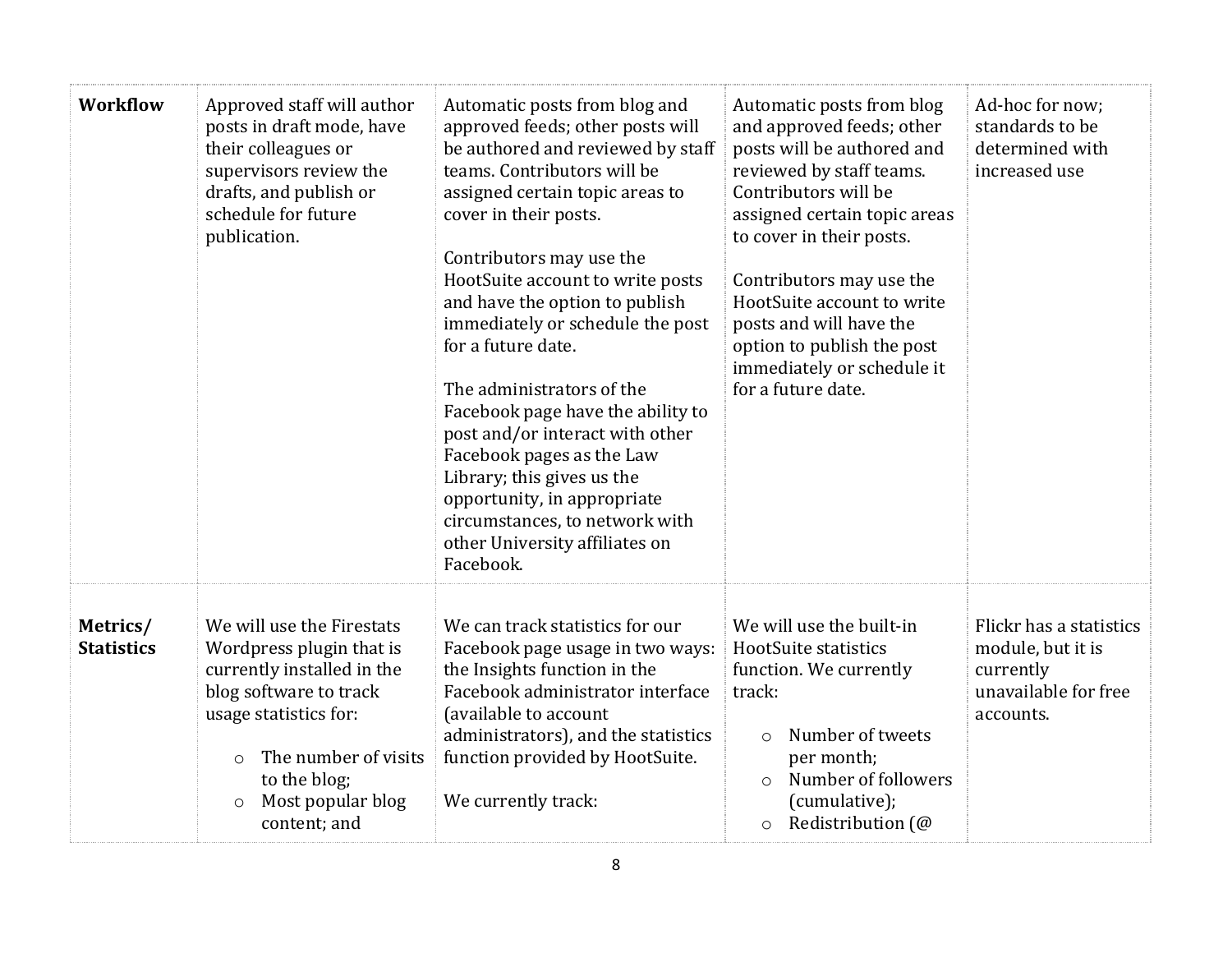| <b>Workflow</b>               | Approved staff will author<br>posts in draft mode, have<br>their colleagues or<br>supervisors review the<br>drafts, and publish or<br>schedule for future<br>publication.                                                                 | Automatic posts from blog and<br>approved feeds; other posts will<br>be authored and reviewed by staff<br>teams. Contributors will be<br>assigned certain topic areas to<br>cover in their posts.<br>Contributors may use the<br>HootSuite account to write posts<br>and have the option to publish<br>immediately or schedule the post<br>for a future date.<br>The administrators of the<br>Facebook page have the ability to<br>post and/or interact with other<br>Facebook pages as the Law<br>Library; this gives us the<br>opportunity, in appropriate<br>circumstances, to network with<br>other University affiliates on<br>Facebook. | Automatic posts from blog<br>and approved feeds; other<br>posts will be authored and<br>reviewed by staff teams.<br>Contributors will be<br>assigned certain topic areas<br>to cover in their posts.<br>Contributors may use the<br>HootSuite account to write<br>posts and will have the<br>option to publish the post<br>immediately or schedule it<br>for a future date. | Ad-hoc for now;<br>standards to be<br>determined with<br>increased use                         |
|-------------------------------|-------------------------------------------------------------------------------------------------------------------------------------------------------------------------------------------------------------------------------------------|-----------------------------------------------------------------------------------------------------------------------------------------------------------------------------------------------------------------------------------------------------------------------------------------------------------------------------------------------------------------------------------------------------------------------------------------------------------------------------------------------------------------------------------------------------------------------------------------------------------------------------------------------|-----------------------------------------------------------------------------------------------------------------------------------------------------------------------------------------------------------------------------------------------------------------------------------------------------------------------------------------------------------------------------|------------------------------------------------------------------------------------------------|
| Metrics/<br><b>Statistics</b> | We will use the Firestats<br>Wordpress plugin that is<br>currently installed in the<br>blog software to track<br>usage statistics for:<br>The number of visits<br>$\circ$<br>to the blog;<br>Most popular blog<br>$\circ$<br>content; and | We can track statistics for our<br>Facebook page usage in two ways:<br>the Insights function in the<br>Facebook administrator interface<br>(available to account<br>administrators), and the statistics<br>function provided by HootSuite.<br>We currently track:                                                                                                                                                                                                                                                                                                                                                                             | We will use the built-in<br>HootSuite statistics<br>function. We currently<br>track:<br>Number of tweets<br>$\circ$<br>per month;<br>Number of followers<br>$\circ$<br>(cumulative);<br>Redistribution (@<br>$\circ$                                                                                                                                                        | Flickr has a statistics<br>module, but it is<br>currently<br>unavailable for free<br>accounts. |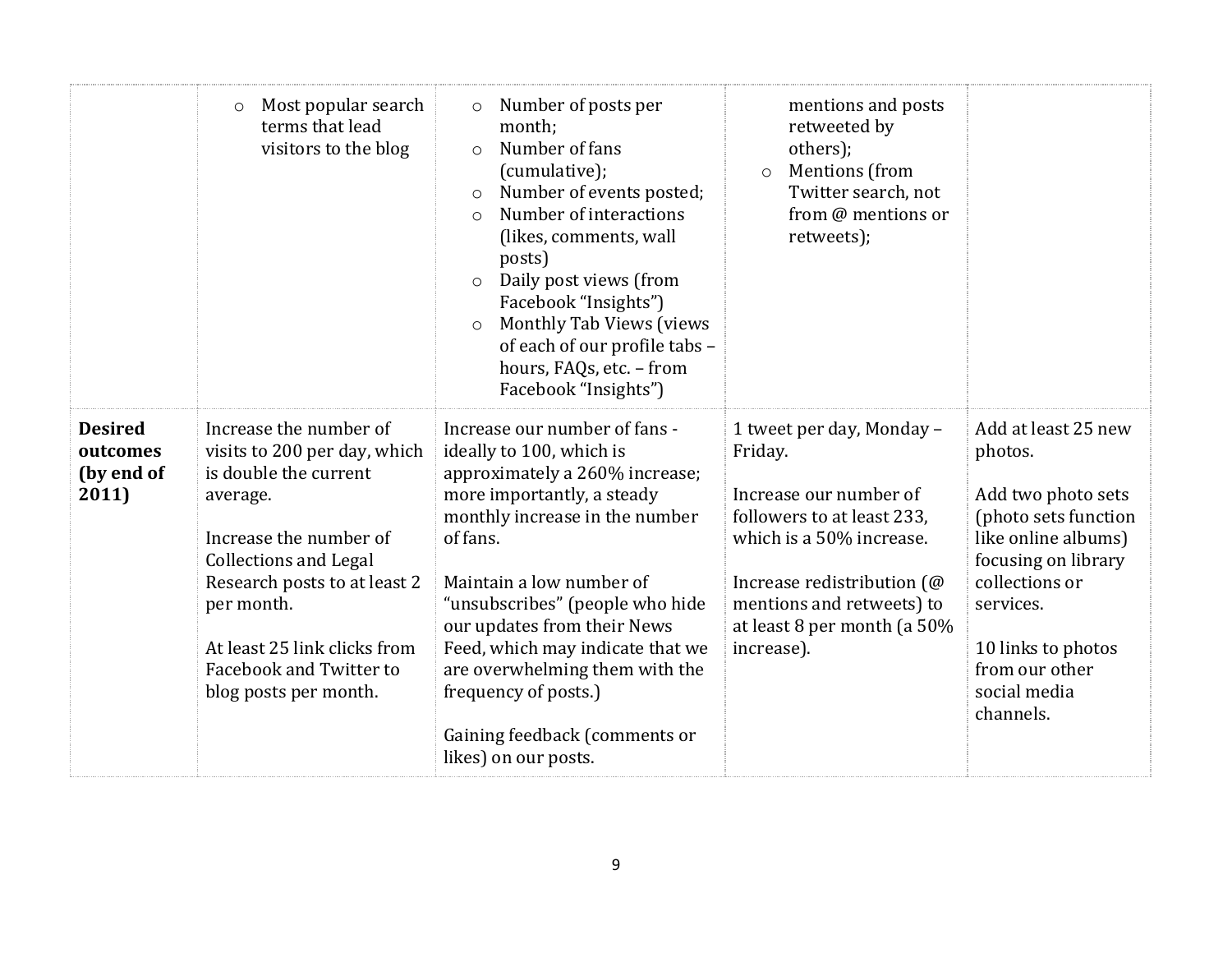|                                                   | Most popular search<br>$\circ$<br>terms that lead<br>visitors to the blog                                                                                                                                                                                                               | Number of posts per<br>$\circ$<br>month;<br>Number of fans<br>$\circ$<br>(cumulative);<br>Number of events posted;<br>$\circ$<br>Number of interactions<br>$\circ$<br>(likes, comments, wall<br>posts)<br>Daily post views (from<br>$\circ$<br>Facebook "Insights")<br>Monthly Tab Views (views<br>$\circ$<br>of each of our profile tabs -<br>hours, FAQs, etc. - from<br>Facebook "Insights")                              | mentions and posts<br>retweeted by<br>others);<br><b>Mentions</b> (from<br>$\circ$<br>Twitter search, not<br>from @ mentions or<br>retweets);                                                                                    |                                                                                                                                                                                                                                |
|---------------------------------------------------|-----------------------------------------------------------------------------------------------------------------------------------------------------------------------------------------------------------------------------------------------------------------------------------------|------------------------------------------------------------------------------------------------------------------------------------------------------------------------------------------------------------------------------------------------------------------------------------------------------------------------------------------------------------------------------------------------------------------------------|----------------------------------------------------------------------------------------------------------------------------------------------------------------------------------------------------------------------------------|--------------------------------------------------------------------------------------------------------------------------------------------------------------------------------------------------------------------------------|
| <b>Desired</b><br>outcomes<br>(by end of<br>2011) | Increase the number of<br>visits to 200 per day, which<br>is double the current<br>average.<br>Increase the number of<br><b>Collections and Legal</b><br>Research posts to at least 2<br>per month.<br>At least 25 link clicks from<br>Facebook and Twitter to<br>blog posts per month. | Increase our number of fans -<br>ideally to 100, which is<br>approximately a 260% increase;<br>more importantly, a steady<br>monthly increase in the number<br>of fans.<br>Maintain a low number of<br>"unsubscribes" (people who hide<br>our updates from their News<br>Feed, which may indicate that we<br>are overwhelming them with the<br>frequency of posts.)<br>Gaining feedback (comments or<br>likes) on our posts. | 1 tweet per day, Monday -<br>Friday.<br>Increase our number of<br>followers to at least 233,<br>which is a 50% increase.<br>Increase redistribution (@<br>mentions and retweets) to<br>at least 8 per month (a 50%<br>increase). | Add at least 25 new<br>photos.<br>Add two photo sets<br>(photo sets function<br>like online albums)<br>focusing on library<br>collections or<br>services.<br>10 links to photos<br>from our other<br>social media<br>channels. |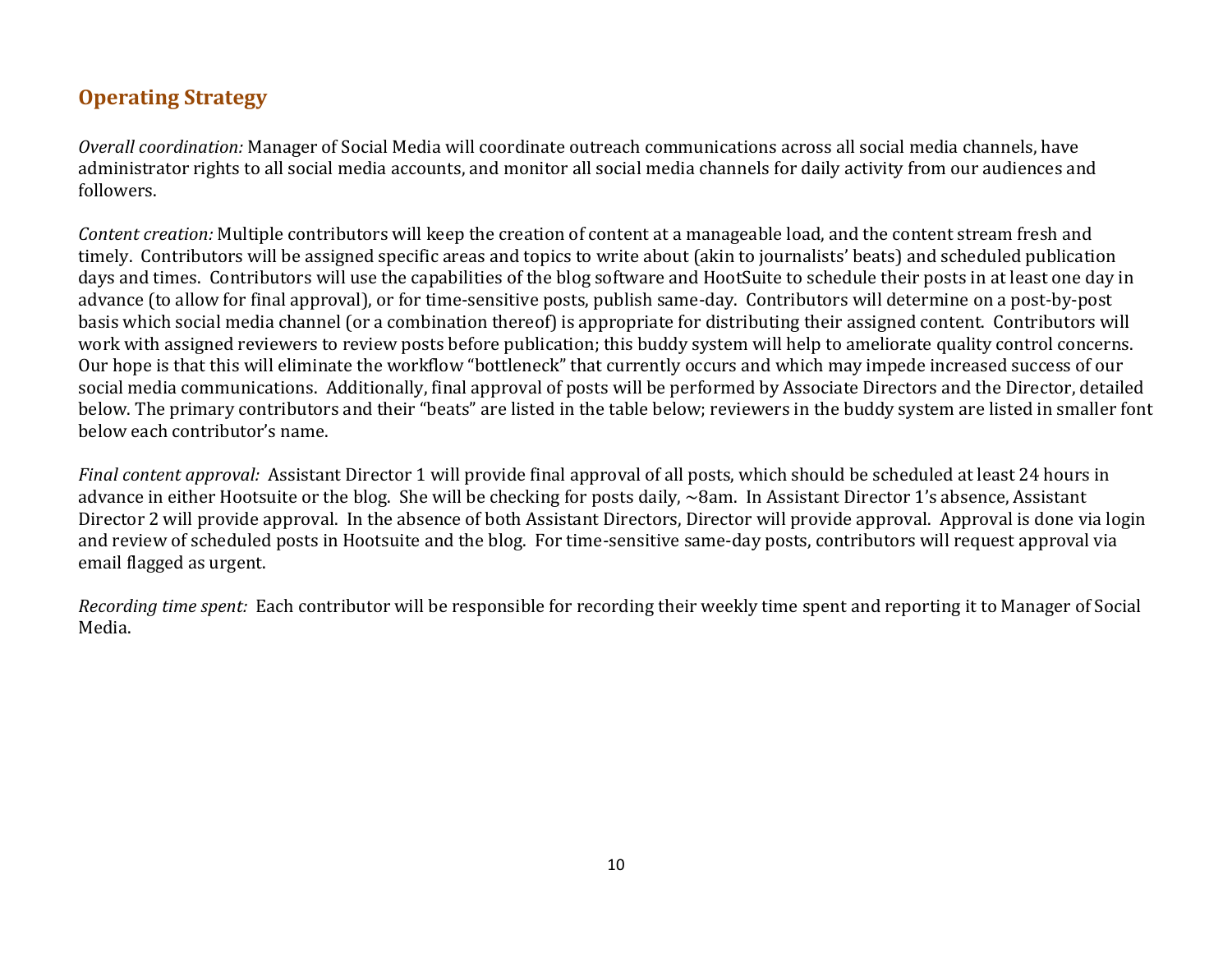## **Operating Strategy**

*Overall coordination:* Manager of Social Media will coordinate outreach communications across all social media channels, have administrator rights to all social media accounts, and monitor all social media channels for daily activity from our audiences and followers.

*Content creation:* Multiple contributors will keep the creation of content at a manageable load, and the content stream fresh and timely. Contributors will be assigned specific areas and topics to write about (akin to journalists' beats) and scheduled publication days and times. Contributors will use the capabilities of the blog software and HootSuite to schedule their posts in at least one day in advance (to allow for final approval), or for time-sensitive posts, publish same-day. Contributors will determine on a post-by-post basis which social media channel (or a combination thereof) is appropriate for distributing their assigned content. Contributors will work with assigned reviewers to review posts before publication; this buddy system will help to ameliorate quality control concerns. Our hope is that this will eliminate the workflow "bottleneck" that currently occurs and which may impede increased success of our social media communications. Additionally, final approval of posts will be performed by Associate Directors and the Director, detailed below. The primary contributors and their "beats" are listed in the table below; reviewers in the buddy system are listed in smaller font below each contributor's name.

*Final content approval:* Assistant Director 1 will provide final approval of all posts, which should be scheduled at least 24 hours in advance in either Hootsuite or the blog. She will be checking for posts daily, ~8am. In Assistant Director 1's absence, Assistant Director 2 will provide approval. In the absence of both Assistant Directors, Director will provide approval. Approval is done via login and review of scheduled posts in Hootsuite and the blog. For time-sensitive same-day posts, contributors will request approval via email flagged as urgent.

*Recording time spent:* Each contributor will be responsible for recording their weekly time spent and reporting it to Manager of Social Media.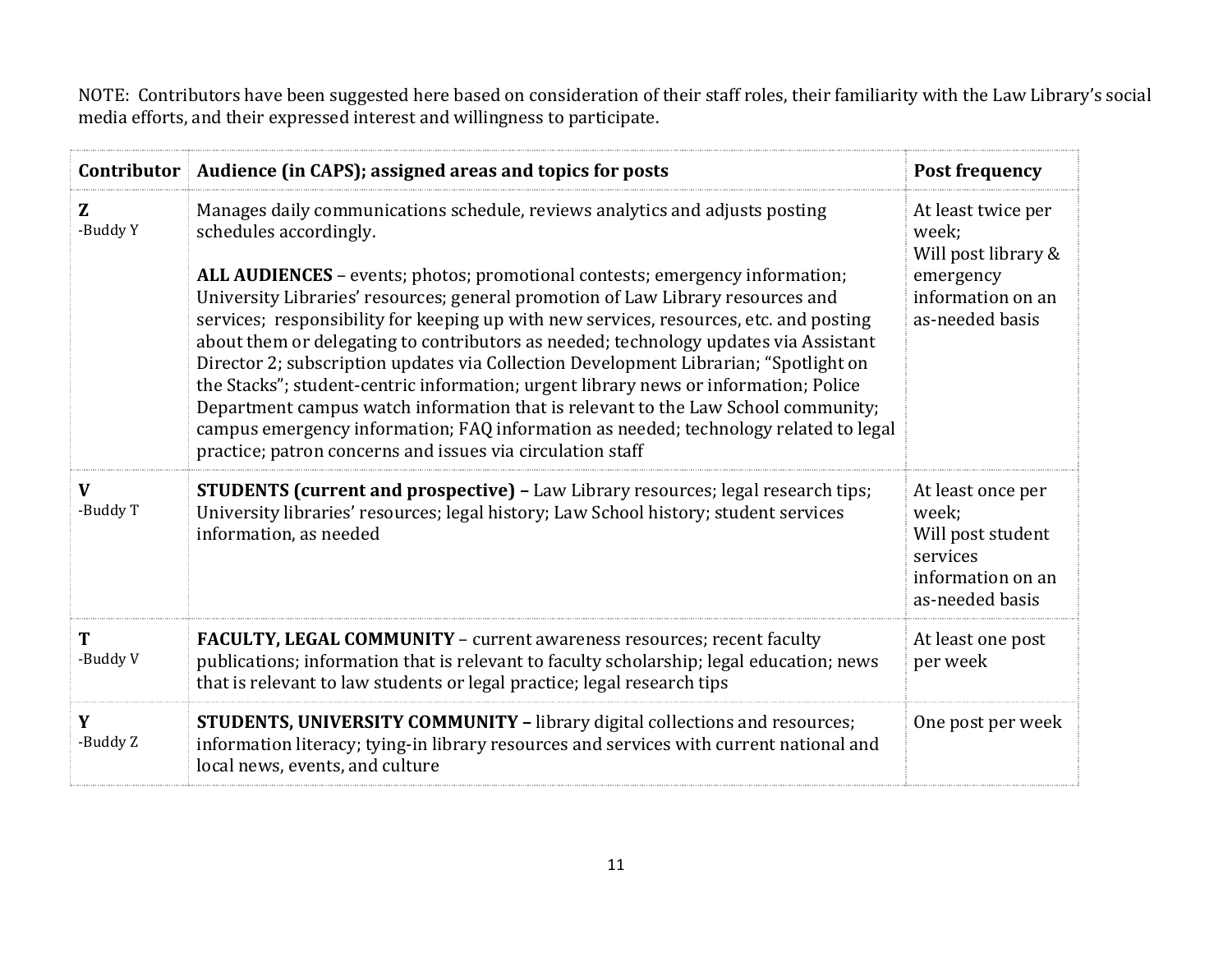NOTE: Contributors have been suggested here based on consideration of their staff roles, their familiarity with the Law Library's social media efforts, and their expressed interest and willingness to participate.

|                          | Contributor   Audience (in CAPS); assigned areas and topics for posts                                                                                                                                                                                                                                                                                                                                                                                                                                                                                                                                                                                                                                                                                                                                                                                                                  | <b>Post frequency</b>                                                                                   |
|--------------------------|----------------------------------------------------------------------------------------------------------------------------------------------------------------------------------------------------------------------------------------------------------------------------------------------------------------------------------------------------------------------------------------------------------------------------------------------------------------------------------------------------------------------------------------------------------------------------------------------------------------------------------------------------------------------------------------------------------------------------------------------------------------------------------------------------------------------------------------------------------------------------------------|---------------------------------------------------------------------------------------------------------|
| Z<br>-Buddy Y            | Manages daily communications schedule, reviews analytics and adjusts posting<br>schedules accordingly.<br>ALL AUDIENCES - events; photos; promotional contests; emergency information;<br>University Libraries' resources; general promotion of Law Library resources and<br>services; responsibility for keeping up with new services, resources, etc. and posting<br>about them or delegating to contributors as needed; technology updates via Assistant<br>Director 2; subscription updates via Collection Development Librarian; "Spotlight on<br>the Stacks"; student-centric information; urgent library news or information; Police<br>Department campus watch information that is relevant to the Law School community;<br>campus emergency information; FAQ information as needed; technology related to legal<br>practice; patron concerns and issues via circulation staff | At least twice per<br>week;<br>Will post library &<br>emergency<br>information on an<br>as-needed basis |
| $\mathbf{V}$<br>-Buddy T | <b>STUDENTS (current and prospective)</b> - Law Library resources; legal research tips;<br>University libraries' resources; legal history; Law School history; student services<br>information, as needed                                                                                                                                                                                                                                                                                                                                                                                                                                                                                                                                                                                                                                                                              | At least once per<br>week;<br>Will post student<br>services<br>information on an<br>as-needed basis     |
| T<br>-Buddy V            | FACULTY, LEGAL COMMUNITY - current awareness resources; recent faculty<br>publications; information that is relevant to faculty scholarship; legal education; news<br>that is relevant to law students or legal practice; legal research tips                                                                                                                                                                                                                                                                                                                                                                                                                                                                                                                                                                                                                                          | At least one post<br>per week                                                                           |
| Y<br>-Buddy Z            | <b>STUDENTS, UNIVERSITY COMMUNITY - library digital collections and resources;</b><br>information literacy; tying-in library resources and services with current national and<br>local news, events, and culture                                                                                                                                                                                                                                                                                                                                                                                                                                                                                                                                                                                                                                                                       | One post per week                                                                                       |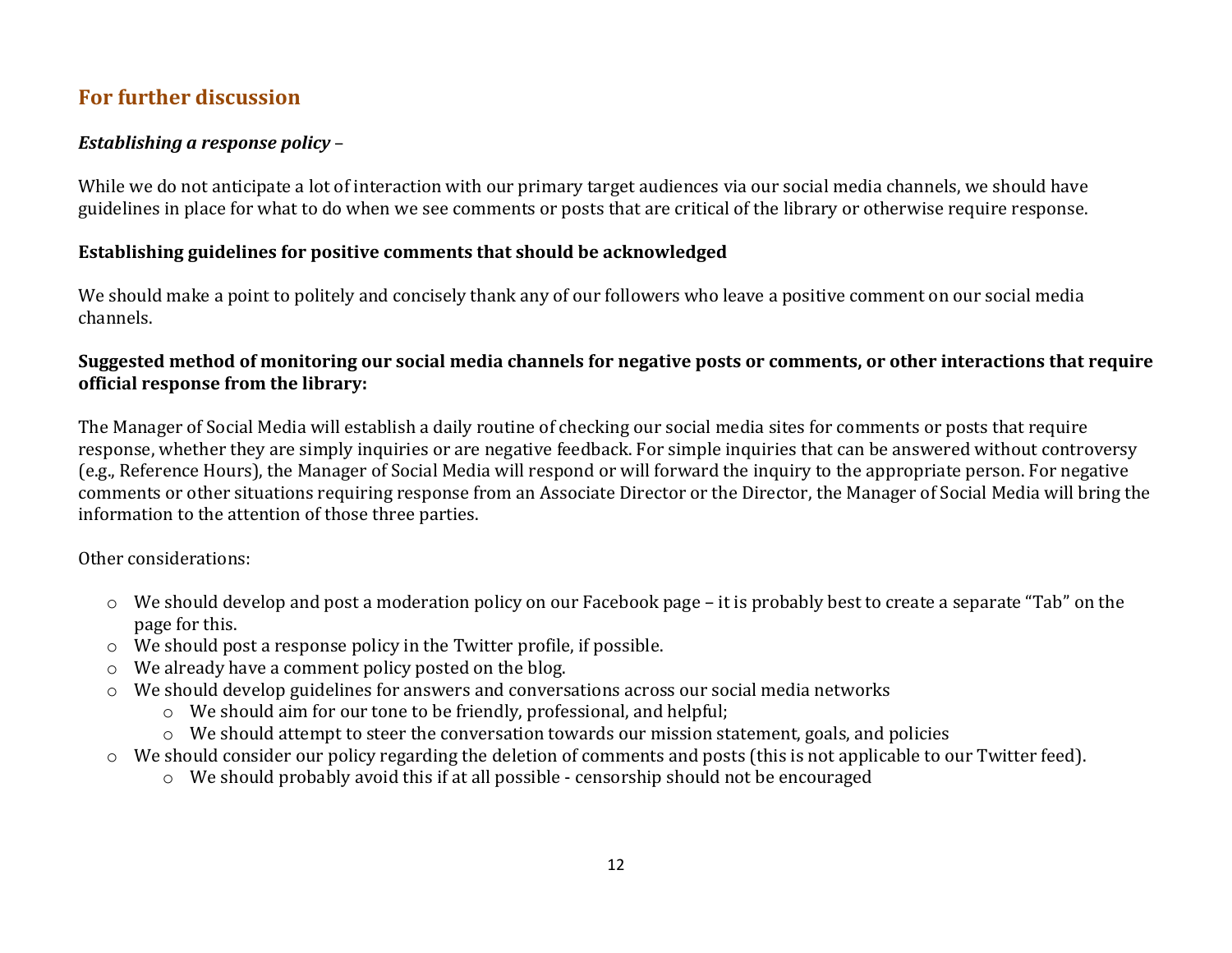### **For further discussion**

### *Establishing a response policy* –

While we do not anticipate a lot of interaction with our primary target audiences via our social media channels, we should have guidelines in place for what to do when we see comments or posts that are critical of the library or otherwise require response.

### **Establishing guidelines for positive comments that should be acknowledged**

We should make a point to politely and concisely thank any of our followers who leave a positive comment on our social media channels.

#### **Suggested method of monitoring our social media channels for negative posts or comments, or other interactions that require official response from the library:**

The Manager of Social Media will establish a daily routine of checking our social media sites for comments or posts that require response, whether they are simply inquiries or are negative feedback. For simple inquiries that can be answered without controversy (e.g., Reference Hours), the Manager of Social Media will respond or will forward the inquiry to the appropriate person. For negative comments or other situations requiring response from an Associate Director or the Director, the Manager of Social Media will bring the information to the attention of those three parties.

Other considerations:

- o We should develop and post a moderation policy on our Facebook page it is probably best to create a separate "Tab" on the page for this.
- o We should post a response policy in the Twitter profile, if possible.
- o We already have a comment policy posted on the blog.
- o We should develop guidelines for answers and conversations across our social media networks
	- o We should aim for our tone to be friendly, professional, and helpful;
	- o We should attempt to steer the conversation towards our mission statement, goals, and policies
- o We should consider our policy regarding the deletion of comments and posts (this is not applicable to our Twitter feed).
	- o We should probably avoid this if at all possible censorship should not be encouraged